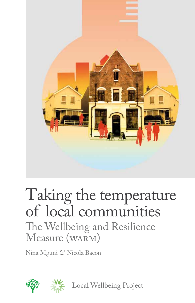

# Taking the temperature of local communities The Wellbeing and Resilience Measure (WARM)

Nina Mguni *&* Nicola Bacon

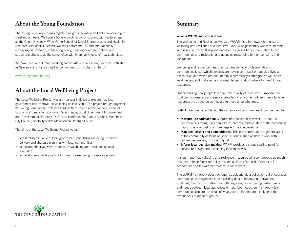## **About the Young Foundation**

The Young Foundation brings together insight, innovation and entrepreneurship to meet social needs. We have a 55 year track record of success with ventures such as the Open University, Which?, the School for Social Entrepreneurs and Healthline (the precursor of NHS Direct). We work across the UK and internationally – carrying out research, influencing policy, creating new organisations and supporting others to do the same, often with imaginative uses of new technology.

We now have over 60 staff, working on over 40 ventures at any one time, with staff in New York and Paris as well as London and Birmingham in the UK.

www.youngfoundation.org

## **About the Local Wellbeing Project**

The Local Wellbeing Project was a three year initiative to explore how local government can improve the wellbeing of its citizens. The project brought together the Young Foundation, Professor Lord Richard Layard at the London School of Economics' Centre for Economic Performance, Local Government Improvement and Development (formerly IDeA), and Hertfordshire County Council, Manchester City Council, South Tyneside Metropolitan Borough Council.

The aims of the Local Wellbeing Project were:

- to establish the value of local government prioritising wellbeing in service delivery and strategic planning with local communities;
- to explore effective ways to measure wellbeing and resilience at local level; and
- to develop replicable practice to maximise wellbeing in service delivery.

### **Summary**

### What is WARM and who is it for?

The Wellbeing and Resilience Measure (WARM) is a framework to measure wellbeing and resilience at a local level. WARM helps identify who is vulnerable, who is not, and why. It supports localism, by giving better information to both communities and residents, and agencies responding to their concerns and aspirations.

Wellbeing and resilience measures can enable local professionals and communities to see which services are having an impact on people's lives at a local level and which are not; identify a community's strengths as well as its weaknesses; and make more informed decisions about where to direct limited resources.

Understanding how people feel about the quality of their lives is important for local decision-makers and service providers at any time, but becomes vital when resources are as scarce as they are in these uncertain times.

WARM gives fresh insights into the dynamics of communities. It can be used to:

- Measure life satisfaction: Capture information on how well or not a community is faring. This could be as part of a routine 'state of the community' health check or part of a more targeted mapping exercise.
- Map local assets and vulnerabilities: This can contribute to a general audit of the community or focus on specific issues, such as how to work with vulnerable families, or social capital.
- Inform local decision making: WARM provides a strong starting point for service re-design and developing local initiatives.

It is our hope that wellbeing and resilience measures will soon become as much of a determining factor for policy makers as Gross Domestic Product is for economists and the weather forecast is for farmers.

The WARM framework does not require additional data collection but encourages communities and agencies to use existing data to create a narrative about local neighbourhoods. Rather than offering a way of comparing performance and needs between local authorities or neighbourhoods, our framework lets communities explore the detail of what goes on in their area, looking at the experiences of different groups

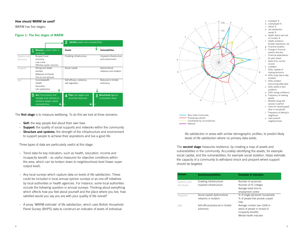### How should WARM be used?

WARM has five stages:

#### Figure 1: The five stages of WARM



The **first stage** is to measure wellbeing. To do this we look at three domains:

- Self: the way people feel about their own lives
- $-$  **Support:** the quality of social supports and networks within the community
- **Structure and systems:** the strength of the infrastructure and environment to support people to achieve their aspirations and live a good life.

Three types of data are particularly useful at this stage:

- Trend data for key indicators, such as health, education, income and incapacity benefit – as useful measures for objective conditions within the area, which can be broken down to neighbourhood level (lower super output level).
- Any local surveys which capture data on levels of life satisfaction. These could be included in local annual opinion surveys or as one-off initiatives by local authorities or health agencies. For instance, some local authorities include the following question in annual surveys: Thinking about everything which affects how you feel about yourself and the place where you live, how satisfied would you say you are with your quality of life overall?
- A proxy 'WARM estimate' of life satisfaction, which uses British Household Panel Survey (BHPS) data to construct an indicator of levels of individual



- 
- 
- c retired % d Job satisfaction:
- overall %
- Health status over last
- 12 months %
- Health problems:
- Anxiety, depression, etc g Financial situation
- h Change in financial
- position last year
- Financial expectations for year ahead
- Saves from current
- income
- k confident
- GHQ: capable of
- making decisions
- m GHQ: enjoy day-to-day activities
- n GHQ: problem
- overcoming difficulties o GHQ: ability to face
- problems p GHQ: losing confidence
- q Frequency of meeting
- people Whether living with
- spouse or partner s Cares for handicapped/
- other in household
- t Frequency of talking to neighbours
- u Likes present
- neighbourhood

life satisfaction in areas with similar demographic profiles, to predict likely levels of life satisfaction where no primary data exists.

The **second stage** measures resilience, by creating a map of assets and vulnerabilities in the community. Accurately identifying the assets, for example social capital, and the vulnerabilities, for example social isolation, helps estimate the capacity of a community to withstand shock and pinpoint where support should be targeted.

| <b>Domain</b>             | Assets/vunerabilities                                  | <b>Examples of indicators</b>                                                                                  |
|---------------------------|--------------------------------------------------------|----------------------------------------------------------------------------------------------------------------|
| Systems and<br>structures | Enabling infrastructure/<br>impaired infrastructure    | Number of vacancies<br>Number of FE colleges<br>Average travel time to<br>employment centre                    |
| Supports                  | Social capital/ dysfunctional<br>networks or isolation | % of single pensioner households<br>% of people that provide unpaid<br>help                                    |
| Self                      | Self-efficacy/reduced or limited<br>autonomy           | Average number (per LSOA in<br>ward) of people in receipt of<br>incapacity benefits<br>Mental health indicator |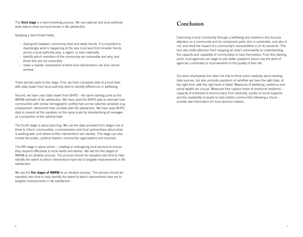The **third stage** is a benchmarking process. We use national and local authority wide data to draw out local trends in life satisfaction.

Applying a benchmark helps:

- distinguish between community-level and wider trends. It is important to disentangle what is happening at the very local level from broader trends across a local authority area, a region, or even nationally
- identify which members of the community are vulnerable and why, and those who are not vulnerable
- make a realistic assessment of what local interventions can and cannot achieve.

There are two parts to this stage. First, we have compared data at a local level with data drawn from local authority level to identify differences in wellbeing.

Second, we have used data drawn from BHPS – the same starting point as the WARM estimate of life satisfaction. We have used the BHPS data to estimate how communities with similar demographic profiles fare across selected variables (e.g. employment, retirement) that correlate with life satisfaction. We have used BHPS data to present all the variables on the same scale by standardising all averages as a proportion of the national total.

The fourth stage is about planning. We use the data provided from stages one to three to inform communities, commissioners and local partnerships about what is working well, and where further interventions are needed. This stage can also involve the public, political leaders, community organisations and business.

The fifth stage is about action – creating or redesigning local services to ensure they respond effectively to local needs and wishes. We see the five stages of WARM as an iterative process. The process should be repeated over time to help identify the extent to which interventions have led to tangible improvements in life satisfaction.

We see the five stages of WARM as an iterative process. The process should be repeated over time to help identify the extent to which interventions have led to tangible improvements in life satisfaction.

### **Conclusion**

Examining a local community through a wellbeing and resilience lens focuses attention on a community and its component parts: who is vulnerable, and who is not, and what the impact of a community's vulnerabilities is on its residents. This lens also shifts attention from mapping an area's vulnerability to understanding the capacity and capability of communities to help themselves. From this starting point, local agencies can begin to ask better questions about how the work of agencies contributes to improvements in the quality of their life.

Our work emphasises the need not only to think more creatively about existing data sources, but also prompts questions on whether we have the right data, at the right time, with the right level of detail. Measures of wellbeing, resilience and social wealth are crucial. Measures that capture levels of emotional resilience – capacity of individual to bounce back from adversity, quality of social supports and the availability of assets to help restore communities following a shock – provide vital information for local decision makers.